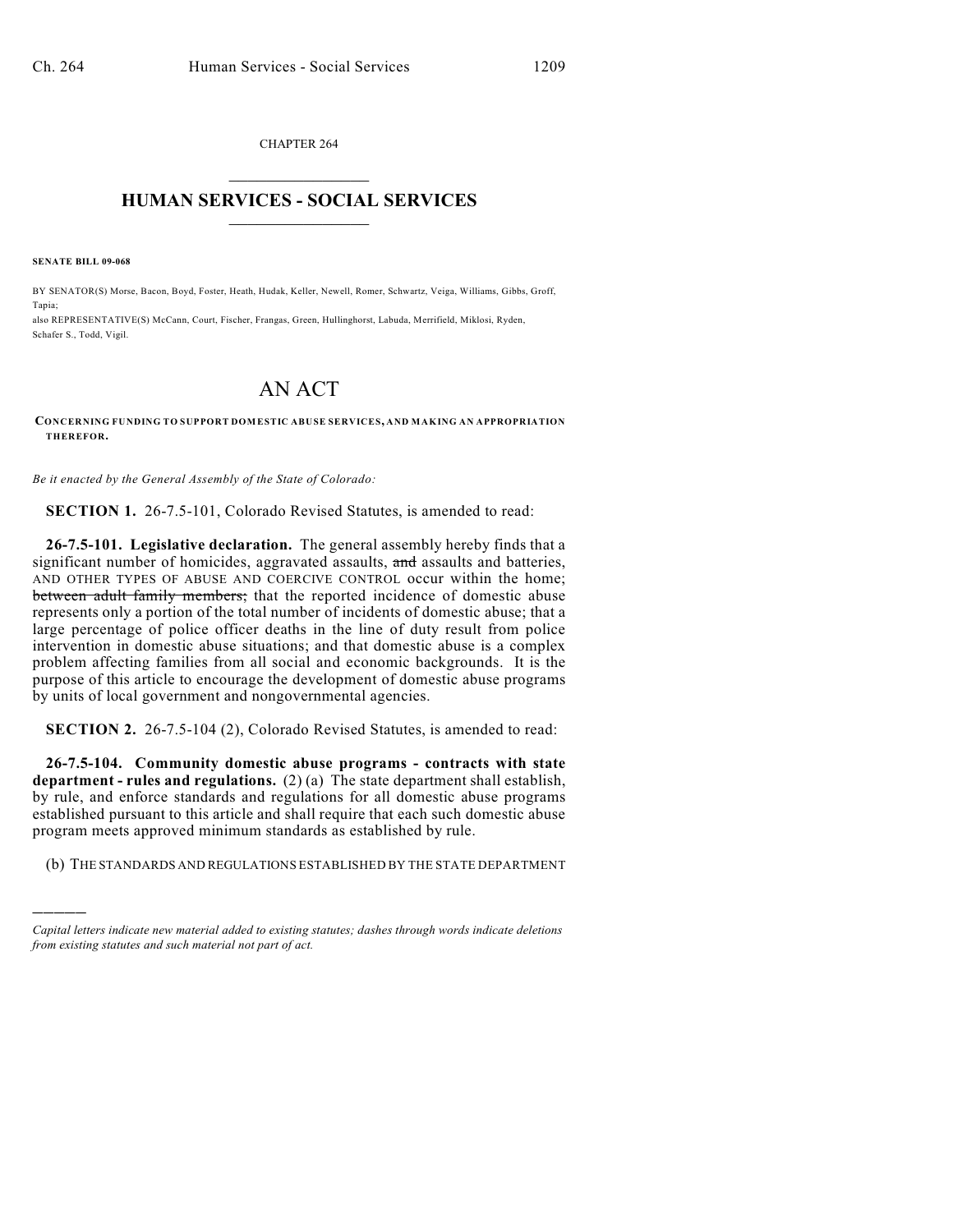CHAPTER 264  $\mathcal{L}_\text{max}$  . The set of the set of the set of the set of the set of the set of the set of the set of the set of the set of the set of the set of the set of the set of the set of the set of the set of the set of the set

## **HUMAN SERVICES - SOCIAL SERVICES**  $\frac{1}{2}$  ,  $\frac{1}{2}$  ,  $\frac{1}{2}$  ,  $\frac{1}{2}$  ,  $\frac{1}{2}$  ,  $\frac{1}{2}$  ,  $\frac{1}{2}$

**SENATE BILL 09-068**

)))))

BY SENATOR(S) Morse, Bacon, Boyd, Foster, Heath, Hudak, Keller, Newell, Romer, Schwartz, Veiga, Williams, Gibbs, Groff, Tapia;

also REPRESENTATIVE(S) McCann, Court, Fischer, Frangas, Green, Hullinghorst, Labuda, Merrifield, Miklosi, Ryden, Schafer S., Todd, Vigil.

## AN ACT

## **CONCERNING FUNDING TO SUPPORT DOMESTIC ABUSE SERVICES, AND MAKING AN APPROPRIATION THEREFOR.**

*Be it enacted by the General Assembly of the State of Colorado:*

**SECTION 1.** 26-7.5-101, Colorado Revised Statutes, is amended to read:

**26-7.5-101. Legislative declaration.** The general assembly hereby finds that a significant number of homicides, aggravated assaults, and assaults and batteries, AND OTHER TYPES OF ABUSE AND COERCIVE CONTROL occur within the home; between adult family members; that the reported incidence of domestic abuse represents only a portion of the total number of incidents of domestic abuse; that a large percentage of police officer deaths in the line of duty result from police intervention in domestic abuse situations; and that domestic abuse is a complex problem affecting families from all social and economic backgrounds. It is the purpose of this article to encourage the development of domestic abuse programs by units of local government and nongovernmental agencies.

**SECTION 2.** 26-7.5-104 (2), Colorado Revised Statutes, is amended to read:

**26-7.5-104. Community domestic abuse programs - contracts with state department - rules and regulations.** (2) (a) The state department shall establish, by rule, and enforce standards and regulations for all domestic abuse programs established pursuant to this article and shall require that each such domestic abuse program meets approved minimum standards as established by rule.

(b) THE STANDARDS AND REGULATIONS ESTABLISHED BY THE STATE DEPARTMENT

*Capital letters indicate new material added to existing statutes; dashes through words indicate deletions from existing statutes and such material not part of act.*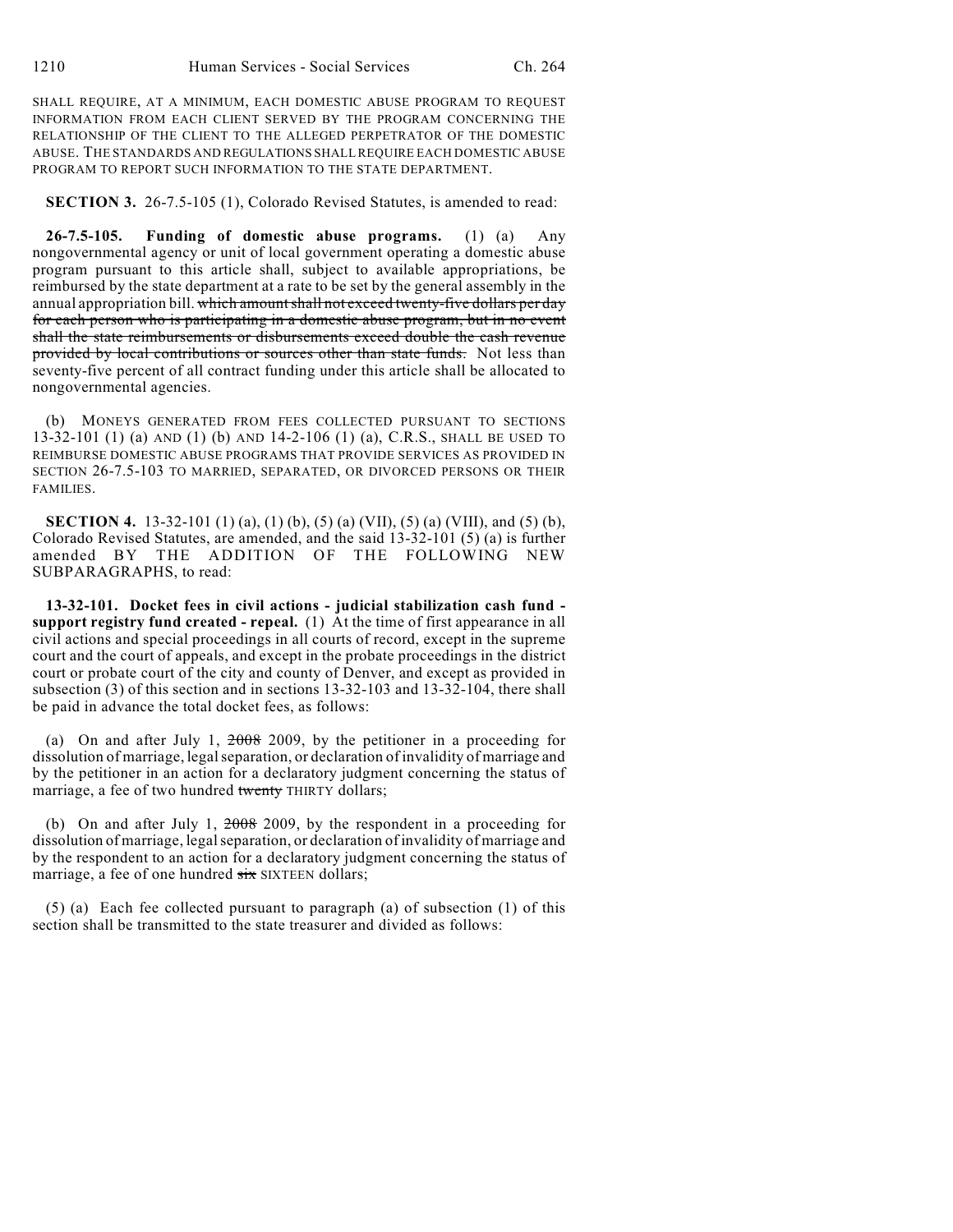SHALL REQUIRE, AT A MINIMUM, EACH DOMESTIC ABUSE PROGRAM TO REQUEST INFORMATION FROM EACH CLIENT SERVED BY THE PROGRAM CONCERNING THE RELATIONSHIP OF THE CLIENT TO THE ALLEGED PERPETRATOR OF THE DOMESTIC ABUSE. THE STANDARDS AND REGULATIONS SHALL REQUIRE EACH DOMESTIC ABUSE PROGRAM TO REPORT SUCH INFORMATION TO THE STATE DEPARTMENT.

**SECTION 3.** 26-7.5-105 (1), Colorado Revised Statutes, is amended to read:

**26-7.5-105. Funding of domestic abuse programs.** (1) (a) Any nongovernmental agency or unit of local government operating a domestic abuse program pursuant to this article shall, subject to available appropriations, be reimbursed by the state department at a rate to be set by the general assembly in the annual appropriation bill. which amount shall not exceed twenty-five dollars per day for each person who is participating in a domestic abuse program, but in no event shall the state reimbursements or disbursements exceed double the cash revenue provided by local contributions or sources other than state funds. Not less than seventy-five percent of all contract funding under this article shall be allocated to nongovernmental agencies.

(b) MONEYS GENERATED FROM FEES COLLECTED PURSUANT TO SECTIONS 13-32-101 (1) (a) AND (1) (b) AND 14-2-106 (1) (a), C.R.S., SHALL BE USED TO REIMBURSE DOMESTIC ABUSE PROGRAMS THAT PROVIDE SERVICES AS PROVIDED IN SECTION 26-7.5-103 TO MARRIED, SEPARATED, OR DIVORCED PERSONS OR THEIR FAMILIES.

**SECTION 4.** 13-32-101 (1) (a), (1) (b), (5) (a) (VII), (5) (a) (VIII), and (5) (b), Colorado Revised Statutes, are amended, and the said 13-32-101 (5) (a) is further amended BY THE ADDITION OF THE FOLLOWING NEW SUBPARAGRAPHS, to read:

**13-32-101. Docket fees in civil actions - judicial stabilization cash fund support registry fund created - repeal.** (1) At the time of first appearance in all civil actions and special proceedings in all courts of record, except in the supreme court and the court of appeals, and except in the probate proceedings in the district court or probate court of the city and county of Denver, and except as provided in subsection (3) of this section and in sections 13-32-103 and 13-32-104, there shall be paid in advance the total docket fees, as follows:

(a) On and after July 1, 2008 2009, by the petitioner in a proceeding for dissolution of marriage, legal separation, or declaration of invalidity of marriage and by the petitioner in an action for a declaratory judgment concerning the status of marriage, a fee of two hundred twenty THIRTY dollars;

(b) On and after July 1, 2008 2009, by the respondent in a proceeding for dissolution of marriage, legal separation, or declaration of invalidity of marriage and by the respondent to an action for a declaratory judgment concerning the status of marriage, a fee of one hundred  $s$ ix SIXTEEN dollars;

(5) (a) Each fee collected pursuant to paragraph (a) of subsection (1) of this section shall be transmitted to the state treasurer and divided as follows: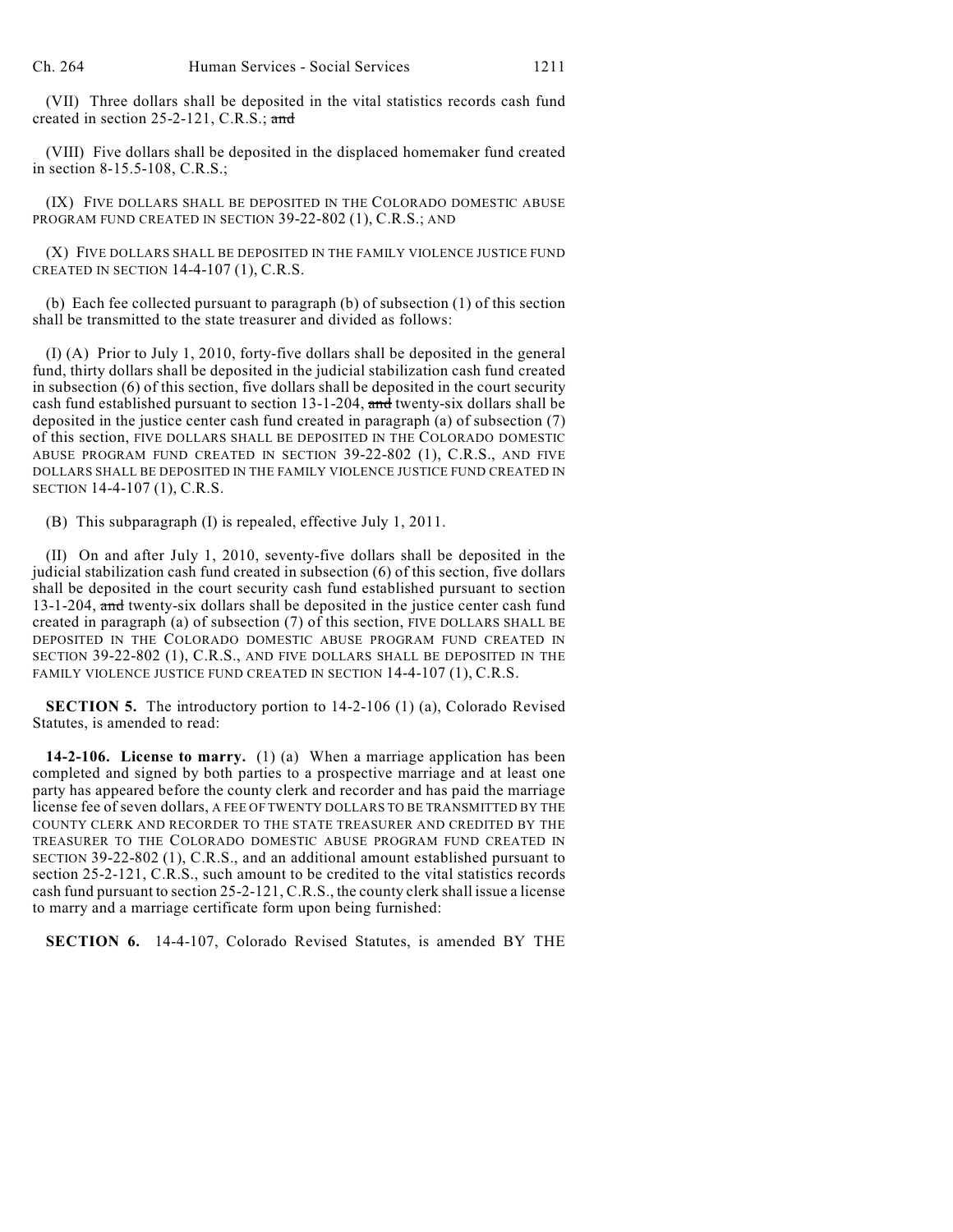(VII) Three dollars shall be deposited in the vital statistics records cash fund created in section 25-2-121, C.R.S.; and

(VIII) Five dollars shall be deposited in the displaced homemaker fund created in section 8-15.5-108, C.R.S.;

(IX) FIVE DOLLARS SHALL BE DEPOSITED IN THE COLORADO DOMESTIC ABUSE PROGRAM FUND CREATED IN SECTION 39-22-802 (1), C.R.S.; AND

(X) FIVE DOLLARS SHALL BE DEPOSITED IN THE FAMILY VIOLENCE JUSTICE FUND CREATED IN SECTION 14-4-107 (1), C.R.S.

(b) Each fee collected pursuant to paragraph (b) of subsection (1) of this section shall be transmitted to the state treasurer and divided as follows:

(I) (A) Prior to July 1, 2010, forty-five dollars shall be deposited in the general fund, thirty dollars shall be deposited in the judicial stabilization cash fund created in subsection (6) of this section, five dollars shall be deposited in the court security cash fund established pursuant to section 13-1-204, and twenty-six dollars shall be deposited in the justice center cash fund created in paragraph (a) of subsection (7) of this section, FIVE DOLLARS SHALL BE DEPOSITED IN THE COLORADO DOMESTIC ABUSE PROGRAM FUND CREATED IN SECTION 39-22-802 (1), C.R.S., AND FIVE DOLLARS SHALL BE DEPOSITED IN THE FAMILY VIOLENCE JUSTICE FUND CREATED IN SECTION 14-4-107 (1), C.R.S.

(B) This subparagraph (I) is repealed, effective July 1, 2011.

(II) On and after July 1, 2010, seventy-five dollars shall be deposited in the judicial stabilization cash fund created in subsection (6) of this section, five dollars shall be deposited in the court security cash fund established pursuant to section 13-1-204, and twenty-six dollars shall be deposited in the justice center cash fund created in paragraph (a) of subsection (7) of this section, FIVE DOLLARS SHALL BE DEPOSITED IN THE COLORADO DOMESTIC ABUSE PROGRAM FUND CREATED IN SECTION 39-22-802 (1), C.R.S., AND FIVE DOLLARS SHALL BE DEPOSITED IN THE FAMILY VIOLENCE JUSTICE FUND CREATED IN SECTION 14-4-107 (1), C.R.S.

**SECTION 5.** The introductory portion to 14-2-106 (1) (a), Colorado Revised Statutes, is amended to read:

**14-2-106. License to marry.** (1) (a) When a marriage application has been completed and signed by both parties to a prospective marriage and at least one party has appeared before the county clerk and recorder and has paid the marriage license fee of seven dollars, A FEE OF TWENTY DOLLARS TO BE TRANSMITTED BY THE COUNTY CLERK AND RECORDER TO THE STATE TREASURER AND CREDITED BY THE TREASURER TO THE COLORADO DOMESTIC ABUSE PROGRAM FUND CREATED IN SECTION 39-22-802 (1), C.R.S., and an additional amount established pursuant to section 25-2-121, C.R.S., such amount to be credited to the vital statistics records cash fund pursuant to section 25-2-121, C.R.S., the county clerk shall issue a license to marry and a marriage certificate form upon being furnished:

**SECTION 6.** 14-4-107, Colorado Revised Statutes, is amended BY THE